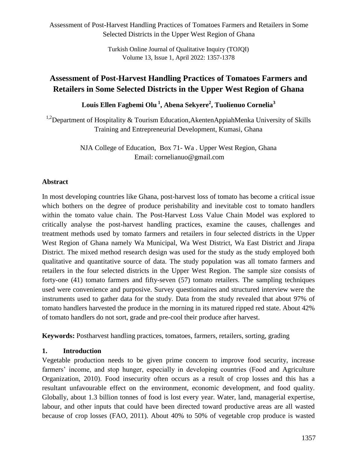> Turkish Online Journal of Qualitative Inquiry (TOJQI) Volume 13, Issue 1, April 2022: 1357-1378

# **Assessment of Post-Harvest Handling Practices of Tomatoes Farmers and Retailers in Some Selected Districts in the Upper West Region of Ghana**

**Louis Ellen Fagbemi Olu <sup>1</sup> , Abena Sekyere<sup>2</sup> , Tuolienuo Cornelia<sup>3</sup>**

<sup>1,2</sup>Department of Hospitality & Tourism Education, Akenten AppiahMenka University of Skills Training and Entrepreneurial Development, Kumasi, Ghana

> NJA College of Education, Box 71- Wa . Upper West Region, Ghana Email: cornelianuo@gmail.com

#### **Abstract**

In most developing countries like Ghana, post-harvest loss of tomato has become a critical issue which bothers on the degree of produce perishability and inevitable cost to tomato handlers within the tomato value chain. The Post-Harvest Loss Value Chain Model was explored to critically analyse the post-harvest handling practices, examine the causes, challenges and treatment methods used by tomato farmers and retailers in four selected districts in the Upper West Region of Ghana namely Wa Municipal, Wa West District, Wa East District and Jirapa District. The mixed method research design was used for the study as the study employed both qualitative and quantitative source of data. The study population was all tomato farmers and retailers in the four selected districts in the Upper West Region. The sample size consists of forty-one (41) tomato farmers and fifty-seven (57) tomato retailers. The sampling techniques used were convenience and purposive. Survey questionnaires and structured interview were the instruments used to gather data for the study. Data from the study revealed that about 97% of tomato handlers harvested the produce in the morning in its matured ripped red state. About 42% of tomato handlers do not sort, grade and pre-cool their produce after harvest.

**Keywords:** Postharvest handling practices, tomatoes, farmers, retailers, sorting, grading

#### **1. Introduction**

Vegetable production needs to be given prime concern to improve food security, increase farmers' income, and stop hunger, especially in developing countries (Food and Agriculture Organization, 2010). Food insecurity often occurs as a result of crop losses and this has a resultant unfavourable effect on the environment, economic development, and food quality. Globally, about 1.3 billion tonnes of food is lost every year. Water, land, managerial expertise, labour, and other inputs that could have been directed toward productive areas are all wasted because of crop losses (FAO, 2011). About 40% to 50% of vegetable crop produce is wasted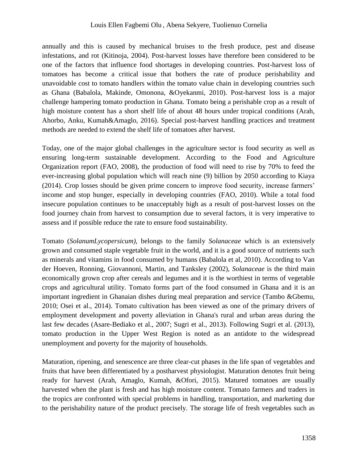annually and this is caused by mechanical bruises to the fresh produce, pest and disease infestations, and rot (Kitinoja, 2004). Post-harvest losses have therefore been considered to be one of the factors that influence food shortages in developing countries. Post-harvest loss of tomatoes has become a critical issue that bothers the rate of produce perishability and unavoidable cost to tomato handlers within the tomato value chain in developing countries such as Ghana (Babalola, Makinde, Omonona, &Oyekanmi, 2010). Post-harvest loss is a major challenge hampering tomato production in Ghana. Tomato being a perishable crop as a result of high moisture content has a short shelf life of about 48 hours under tropical conditions (Arah, Ahorbo, Anku, Kumah&Amaglo, 2016). Special post-harvest handling practices and treatment methods are needed to extend the shelf life of tomatoes after harvest.

Today, one of the major global challenges in the agriculture sector is food security as well as ensuring long-term sustainable development. According to the Food and Agriculture Organization report (FAO, 2008), the production of food will need to rise by 70% to feed the ever-increasing global population which will reach nine (9) billion by 2050 according to Kiaya (2014). Crop losses should be given prime concern to improve food security, increase farmers' income and stop hunger, especially in developing countries (FAO, 2010). While a total food insecure population continues to be unacceptably high as a result of post-harvest losses on the food journey chain from harvest to consumption due to several factors, it is very imperative to assess and if possible reduce the rate to ensure food sustainability.

Tomato (*SolanumLycopersicum),* belongs to the family *Solanaceae* which is an extensively grown and consumed staple vegetable fruit in the world, and it is a good source of nutrients such as minerals and vitamins in food consumed by humans (Babalola et al, 2010). According to Van der Hoeven, Ronning, Giovannoni, Martin, and Tanksley (2002), *Solanaceae* is the third main economically grown crop after cereals and legumes and it is the worthiest in terms of vegetable crops and agricultural utility. Tomato forms part of the food consumed in Ghana and it is an important ingredient in Ghanaian dishes during meal preparation and service (Tambo &Gbemu, 2010; Osei et al., 2014). Tomato cultivation has been viewed as one of the primary drivers of employment development and poverty alleviation in Ghana's rural and urban areas during the last few decades (Asare-Bediako et al., 2007; Sugri et al., 2013). Following Sugri et al. (2013), tomato production in the Upper West Region is noted as an antidote to the widespread unemployment and poverty for the majority of households.

Maturation, ripening, and senescence are three clear-cut phases in the life span of vegetables and fruits that have been differentiated by a postharvest physiologist. Maturation denotes fruit being ready for harvest (Arah, Amaglo, Kumah, &Ofori, 2015). Matured tomatoes are usually harvested when the plant is fresh and has high moisture content. Tomato farmers and traders in the tropics are confronted with special problems in handling, transportation, and marketing due to the perishability nature of the product precisely. The storage life of fresh vegetables such as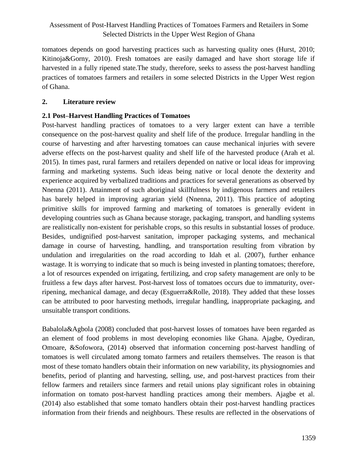tomatoes depends on good harvesting practices such as harvesting quality ones (Hurst, 2010; Kitinoja&Gorny, 2010). Fresh tomatoes are easily damaged and have short storage life if harvested in a fully ripened state.The study, therefore, seeks to assess the post-harvest handling practices of tomatoes farmers and retailers in some selected Districts in the Upper West region of Ghana.

### **2. Literature review**

### **2.1 Post–Harvest Handling Practices of Tomatoes**

Post-harvest handling practices of tomatoes to a very larger extent can have a terrible consequence on the post-harvest quality and shelf life of the produce. Irregular handling in the course of harvesting and after harvesting tomatoes can cause mechanical injuries with severe adverse effects on the post-harvest quality and shelf life of the harvested produce (Arah et al. 2015). In times past, rural farmers and retailers depended on native or local ideas for improving farming and marketing systems. Such ideas being native or local denote the dexterity and experience acquired by verbalized traditions and practices for several generations as observed by Nnenna (2011). Attainment of such aboriginal skillfulness by indigenous farmers and retailers has barely helped in improving agrarian yield (Nnenna, 2011). This practice of adopting primitive skills for improved farming and marketing of tomatoes is generally evident in developing countries such as Ghana because storage, packaging, transport, and handling systems are realistically non-existent for perishable crops, so this results in substantial losses of produce. Besides, undignified post-harvest sanitation, improper packaging systems, and mechanical damage in course of harvesting, handling, and transportation resulting from vibration by undulation and irregularities on the road according to Idah et al. (2007), further enhance wastage. It is worrying to indicate that so much is being invested in planting tomatoes; therefore, a lot of resources expended on irrigating, fertilizing, and crop safety management are only to be fruitless a few days after harvest. Post-harvest loss of tomatoes occurs due to immaturity, overripening, mechanical damage, and decay (Esguerra&Rolle, 2018). They added that these losses can be attributed to poor harvesting methods, irregular handling, inappropriate packaging, and unsuitable transport conditions.

Babalola&Agbola (2008) concluded that post-harvest losses of tomatoes have been regarded as an element of food problems in most developing economies like Ghana. Ajagbe, Oyediran, Omoare, &Sofowora, (2014) observed that information concerning post-harvest handling of tomatoes is well circulated among tomato farmers and retailers themselves. The reason is that most of these tomato handlers obtain their information on new variability, its physiognomies and benefits, period of planting and harvesting, selling, use, and post-harvest practices from their fellow farmers and retailers since farmers and retail unions play significant roles in obtaining information on tomato post-harvest handling practices among their members. Ajagbe et al. (2014) also established that some tomato handlers obtain their post-harvest handling practices information from their friends and neighbours. These results are reflected in the observations of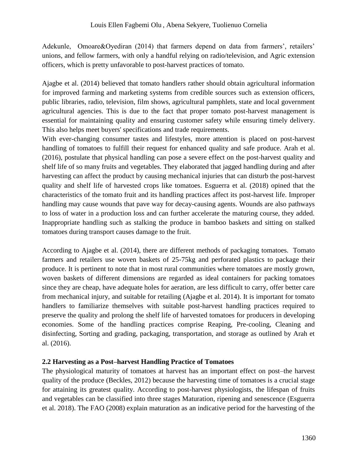Adekunle, Omoare&Oyediran (2014) that farmers depend on data from farmers', retailers' unions, and fellow farmers, with only a handful relying on radio/television, and Agric extension officers, which is pretty unfavorable to post-harvest practices of tomato.

Ajagbe et al. (2014) believed that tomato handlers rather should obtain agricultural information for improved farming and marketing systems from credible sources such as extension officers, public libraries, radio, television, film shows, agricultural pamphlets, state and local government agricultural agencies. This is due to the fact that proper tomato post-harvest management is essential for maintaining quality and ensuring customer safety while ensuring timely delivery. This also helps meet buyers' specifications and trade requirements.

With ever-changing consumer tastes and lifestyles, more attention is placed on post-harvest handling of tomatoes to fulfill their request for enhanced quality and safe produce. Arah et al. (2016), postulate that physical handling can pose a severe effect on the post-harvest quality and shelf life of so many fruits and vegetables. They elaborated that jagged handling during and after harvesting can affect the product by causing mechanical injuries that can disturb the post-harvest quality and shelf life of harvested crops like tomatoes. Esguerra et al. (2018) opined that the characteristics of the tomato fruit and its handling practices affect its post-harvest life. Improper handling may cause wounds that pave way for decay-causing agents. Wounds are also pathways to loss of water in a production loss and can further accelerate the maturing course, they added. Inappropriate handling such as stalking the produce in bamboo baskets and sitting on stalked tomatoes during transport causes damage to the fruit.

According to Ajagbe et al. (2014), there are different methods of packaging tomatoes. Tomato farmers and retailers use woven baskets of 25-75kg and perforated plastics to package their produce. It is pertinent to note that in most rural communities where tomatoes are mostly grown, woven baskets of different dimensions are regarded as ideal containers for packing tomatoes since they are cheap, have adequate holes for aeration, are less difficult to carry, offer better care from mechanical injury, and suitable for retailing (Ajagbe et al. 2014). It is important for tomato handlers to familiarize themselves with suitable post-harvest handling practices required to preserve the quality and prolong the shelf life of harvested tomatoes for producers in developing economies. Some of the handling practices comprise Reaping, Pre-cooling, Cleaning and disinfecting, Sorting and grading, packaging, transportation, and storage as outlined by Arah et al. (2016).

# **2.2 Harvesting as a Post–harvest Handling Practice of Tomatoes**

The physiological maturity of tomatoes at harvest has an important effect on post–the harvest quality of the produce (Beckles, 2012) because the harvesting time of tomatoes is a crucial stage for attaining its greatest quality. According to post-harvest physiologists, the lifespan of fruits and vegetables can be classified into three stages Maturation, ripening and senescence (Esguerra et al. 2018). The FAO (2008) explain maturation as an indicative period for the harvesting of the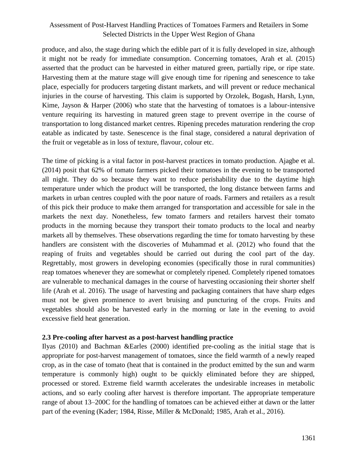produce, and also, the stage during which the edible part of it is fully developed in size, although it might not be ready for immediate consumption. Concerning tomatoes, Arah et al. (2015) asserted that the product can be harvested in either matured green, partially ripe, or ripe state. Harvesting them at the mature stage will give enough time for ripening and senescence to take place, especially for producers targeting distant markets, and will prevent or reduce mechanical injuries in the course of harvesting. This claim is supported by Orzolek, Bogash, Harsh, Lynn, Kime, Jayson & Harper (2006) who state that the harvesting of tomatoes is a labour-intensive venture requiring its harvesting in matured green stage to prevent overripe in the course of transportation to long distanced market centres. Ripening precedes maturation rendering the crop eatable as indicated by taste. Senescence is the final stage, considered a natural deprivation of the fruit or vegetable as in loss of texture, flavour, colour etc.

The time of picking is a vital factor in post-harvest practices in tomato production. Ajagbe et al. (2014) posit that 62% of tomato farmers picked their tomatoes in the evening to be transported all night. They do so because they want to reduce perishability due to the daytime high temperature under which the product will be transported, the long distance between farms and markets in urban centres coupled with the poor nature of roads. Farmers and retailers as a result of this pick their produce to make them arranged for transportation and accessible for sale in the markets the next day. Nonetheless, few tomato farmers and retailers harvest their tomato products in the morning because they transport their tomato products to the local and nearby markets all by themselves. These observations regarding the time for tomato harvesting by these handlers are consistent with the discoveries of Muhammad et al. (2012) who found that the reaping of fruits and vegetables should be carried out during the cool part of the day. Regrettably, most growers in developing economies (specifically those in rural communities) reap tomatoes whenever they are somewhat or completely ripened. Completely ripened tomatoes are vulnerable to mechanical damages in the course of harvesting occasioning their shorter shelf life (Arah et al. 2016). The usage of harvesting and packaging containers that have sharp edges must not be given prominence to avert bruising and puncturing of the crops. Fruits and vegetables should also be harvested early in the morning or late in the evening to avoid excessive field heat generation.

#### **2.3 Pre-cooling after harvest as a post-harvest handling practice**

Ilyas (2010) and Bachman &Earles (2000) identified pre-cooling as the initial stage that is appropriate for post-harvest management of tomatoes, since the field warmth of a newly reaped crop, as in the case of tomato (heat that is contained in the product emitted by the sun and warm temperature is commonly high) ought to be quickly eliminated before they are shipped, processed or stored. Extreme field warmth accelerates the undesirable increases in metabolic actions, and so early cooling after harvest is therefore important. The appropriate temperature range of about 13–200C for the handling of tomatoes can be achieved either at dawn or the latter part of the evening (Kader; 1984, Risse, Miller & McDonald; 1985, Arah et al., 2016).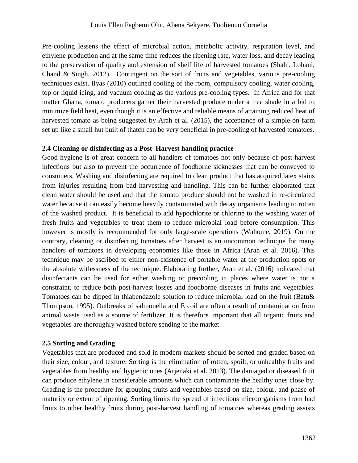Pre-cooling lessens the effect of microbial action, metabolic activity, respiration level, and ethylene production and at the same time reduces the ripening rate, water loss, and decay leading to the preservation of quality and extension of shelf life of harvested tomatoes (Shahi, Lohani, Chand & Singh, 2012). Contingent on the sort of fruits and vegetables, various pre-cooling techniques exist. Ilyas (2010) outlined cooling of the room, compulsory cooling, water cooling, top or liquid icing, and vacuum cooling as the various pre-cooling types. In Africa and for that matter Ghana, tomato producers gather their harvested produce under a tree shade in a bid to minimize field heat, even though it is an effective and reliable means of attaining reduced heat of harvested tomato as being suggested by Arah et al. (2015), the acceptance of a simple on-farm set up like a small hut built of thatch can be very beneficial in pre-cooling of harvested tomatoes.

#### **2.4 Cleaning or disinfecting as a Post–Harvest handling practice**

Good hygiene is of great concern to all handlers of tomatoes not only because of post-harvest infections but also to prevent the occurrence of foodborne sicknesses that can be conveyed to consumers. Washing and disinfecting are required to clean product that has acquired latex stains from injuries resulting from bad harvesting and handling. This can be further elaborated that clean water should be used and that the tomato produce should not be washed in re-circulated water because it can easily become heavily contaminated with decay organisms leading to rotten of the washed product. It is beneficial to add hypochlorite or chlorine to the washing water of fresh fruits and vegetables to treat them to reduce microbial load before consumption. This however is mostly is recommended for only large-scale operations (Wahome, 2019). On the contrary, cleaning or disinfecting tomatoes after harvest is an uncommon technique for many handlers of tomatoes in developing economies like those in Africa (Arah et al. 2016). This technique may be ascribed to either non-existence of portable water at the production spots or the absolute witlessness of the technique. Elaborating further, Arah et al. (2016) indicated that disinfectants can be used for either washing or precooling in places where water is not a constraint, to reduce both post-harvest losses and foodborne diseases in fruits and vegetables. Tomatoes can be dipped in thiabendazole solution to reduce microbial load on the fruit (Batu& Thompson, 1995). Outbreaks of salmonella and E coil are often a result of contamination from animal waste used as a source of fertilizer. It is therefore important that all organic fruits and vegetables are thoroughly washed before sending to the market.

#### **2.5 Sorting and Grading**

Vegetables that are produced and sold in modern markets should be sorted and graded based on their size, colour, and texture. Sorting is the elimination of rotten, spoilt, or unhealthy fruits and vegetables from healthy and hygienic ones (Arjenaki et al. 2013). The damaged or diseased fruit can produce ethylene in considerable amounts which can contaminate the healthy ones close by. Grading is the procedure for grouping fruits and vegetables based on size, colour, and phase of maturity or extent of ripening. Sorting limits the spread of infectious microorganisms from bad fruits to other healthy fruits during post-harvest handling of tomatoes whereas grading assists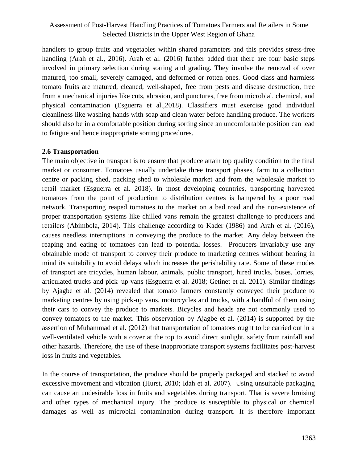handlers to group fruits and vegetables within shared parameters and this provides stress-free handling (Arah et al., 2016). Arah et al. (2016) further added that there are four basic steps involved in primary selection during sorting and grading. They involve the removal of over matured, too small, severely damaged, and deformed or rotten ones. Good class and harmless tomato fruits are matured, cleaned, well-shaped, free from pests and disease destruction, free from a mechanical injuries like cuts, abrasion, and punctures, free from microbial, chemical, and physical contamination (Esguerra et al.,2018). Classifiers must exercise good individual cleanliness like washing hands with soap and clean water before handling produce. The workers should also be in a comfortable position during sorting since an uncomfortable position can lead to fatigue and hence inappropriate sorting procedures.

#### **2.6 Transportation**

The main objective in transport is to ensure that produce attain top quality condition to the final market or consumer. Tomatoes usually undertake three transport phases, farm to a collection centre or packing shed, packing shed to wholesale market and from the wholesale market to retail market (Esguerra et al. 2018). In most developing countries, transporting harvested tomatoes from the point of production to distribution centres is hampered by a poor road network. Transporting reaped tomatoes to the market on a bad road and the non-existence of proper transportation systems like chilled vans remain the greatest challenge to producers and retailers (Abimbola, 2014). This challenge according to Kader (1986) and Arah et al. (2016), causes needless interruptions in conveying the produce to the market. Any delay between the reaping and eating of tomatoes can lead to potential losses. Producers invariably use any obtainable mode of transport to convey their produce to marketing centres without bearing in mind its suitability to avoid delays which increases the perishability rate. Some of these modes of transport are tricycles, human labour, animals, public transport, hired trucks, buses, lorries, articulated trucks and pick–up vans (Esguerra et al. 2018; Getinet et al. 2011). Similar findings by Ajagbe et al. (2014) revealed that tomato farmers constantly conveyed their produce to marketing centres by using pick-up vans, motorcycles and trucks, with a handful of them using their cars to convey the produce to markets. Bicycles and heads are not commonly used to convey tomatoes to the market. This observation by Ajagbe et al. (2014) is supported by the assertion of Muhammad et al. (2012) that transportation of tomatoes ought to be carried out in a well-ventilated vehicle with a cover at the top to avoid direct sunlight, safety from rainfall and other hazards. Therefore, the use of these inappropriate transport systems facilitates post-harvest loss in fruits and vegetables.

In the course of transportation, the produce should be properly packaged and stacked to avoid excessive movement and vibration (Hurst, 2010; Idah et al. 2007). Using unsuitable packaging can cause an undesirable loss in fruits and vegetables during transport. That is severe bruising and other types of mechanical injury. The produce is susceptible to physical or chemical damages as well as microbial contamination during transport. It is therefore important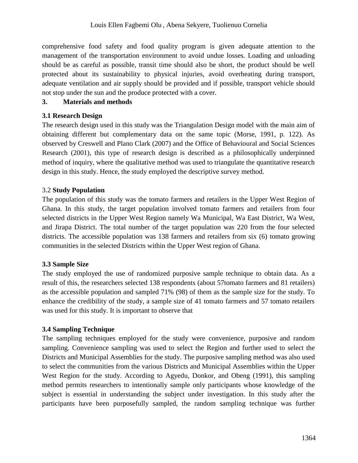comprehensive food safety and food quality program is given adequate attention to the management of the transportation environment to avoid undue losses. Loading and unloading should be as careful as possible, transit time should also be short, the product should be well protected about its sustainability to physical injuries, avoid overheating during transport, adequate ventilation and air supply should be provided and if possible, transport vehicle should not stop under the sun and the produce protected with a cover.

#### **3. Materials and methods**

### **3.1 Research Design**

The research design used in this study was the Triangulation Design model with the main aim of obtaining different but complementary data on the same topic (Morse, 1991, p. 122). As observed by Creswell and Plano Clark (2007) and the Office of Behavioural and Social Sciences Research (2001), this type of research design is described as a philosophically underpinned method of inquiry, where the qualitative method was used to triangulate the quantitative research design in this study. Hence, the study employed the descriptive survey method.

# 3.2 **Study Population**

The population of this study was the tomato farmers and retailers in the Upper West Region of Ghana. In this study, the target population involved tomato farmers and retailers from four selected districts in the Upper West Region namely Wa Municipal, Wa East District, Wa West, and Jirapa District. The total number of the target population was 220 from the four selected districts. The accessible population was 138 farmers and retailers from six (6) tomato growing communities in the selected Districts within the Upper West region of Ghana.

# **3.3 Sample Size**

The study employed the use of randomized purposive sample technique to obtain data. As a result of this, the researchers selected 138 respondents (about 57tomato farmers and 81 retailers) as the accessible population and sampled 71% (98) of them as the sample size for the study. To enhance the credibility of the study, a sample size of 41 tomato farmers and 57 tomato retailers was used for this study. It is important to observe that

# **3.4 Sampling Technique**

The sampling techniques employed for the study were convenience, purposive and random sampling. Convenience sampling was used to select the Region and further used to select the Districts and Municipal Assemblies for the study. The purposive sampling method was also used to select the communities from the various Districts and Municipal Assemblies within the Upper West Region for the study. According to Agyedu, Donkor, and Obeng (1991), this sampling method permits researchers to intentionally sample only participants whose knowledge of the subject is essential in understanding the subject under investigation. In this study after the participants have been purposefully sampled, the random sampling technique was further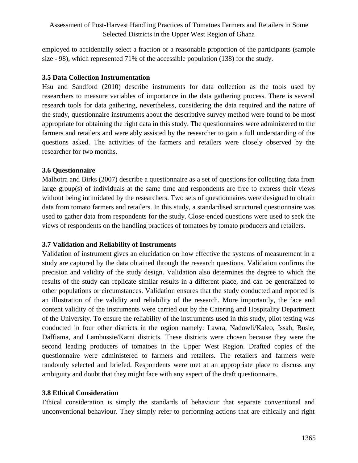employed to accidentally select a fraction or a reasonable proportion of the participants (sample size - 98), which represented 71% of the accessible population (138) for the study.

#### **3.5 Data Collection Instrumentation**

Hsu and Sandford (2010) describe instruments for data collection as the tools used by researchers to measure variables of importance in the data gathering process. There is several research tools for data gathering, nevertheless, considering the data required and the nature of the study, questionnaire instruments about the descriptive survey method were found to be most appropriate for obtaining the right data in this study. The questionnaires were administered to the farmers and retailers and were ably assisted by the researcher to gain a full understanding of the questions asked. The activities of the farmers and retailers were closely observed by the researcher for two months.

#### **3.6 Questionnaire**

Malhotra and Birks (2007) describe a questionnaire as a set of questions for collecting data from large group(s) of individuals at the same time and respondents are free to express their views without being intimidated by the researchers. Two sets of questionnaires were designed to obtain data from tomato farmers and retailers. In this study, a standardised structured questionnaire was used to gather data from respondents for the study. Close-ended questions were used to seek the views of respondents on the handling practices of tomatoes by tomato producers and retailers.

# **3.7 Validation and Reliability of Instruments**

Validation of instrument gives an elucidation on how effective the systems of measurement in a study are captured by the data obtained through the research questions. Validation confirms the precision and validity of the study design. Validation also determines the degree to which the results of the study can replicate similar results in a different place, and can be generalized to other populations or circumstances. Validation ensures that the study conducted and reported is an illustration of the validity and reliability of the research. More importantly, the face and content validity of the instruments were carried out by the Catering and Hospitality Department of the University. To ensure the reliability of the instruments used in this study, pilot testing was conducted in four other districts in the region namely: Lawra, Nadowli/Kaleo, Issah, Busie, Daffiama, and Lambussie/Karni districts. These districts were chosen because they were the second leading producers of tomatoes in the Upper West Region. Drafted copies of the questionnaire were administered to farmers and retailers. The retailers and farmers were randomly selected and briefed. Respondents were met at an appropriate place to discuss any ambiguity and doubt that they might face with any aspect of the draft questionnaire.

#### **3.8 Ethical Consideration**

Ethical consideration is simply the standards of behaviour that separate conventional and unconventional behaviour. They simply refer to performing actions that are ethically and right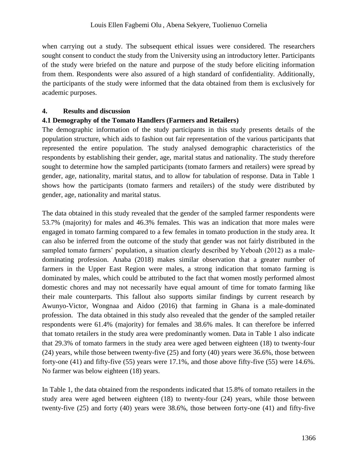when carrying out a study. The subsequent ethical issues were considered. The researchers sought consent to conduct the study from the University using an introductory letter. Participants of the study were briefed on the nature and purpose of the study before eliciting information from them. Respondents were also assured of a high standard of confidentiality. Additionally, the participants of the study were informed that the data obtained from them is exclusively for academic purposes.

#### **4. Results and discussion**

#### **4.1 Demography of the Tomato Handlers (Farmers and Retailers)**

The demographic information of the study participants in this study presents details of the population structure, which aids to fashion out fair representation of the various participants that represented the entire population. The study analysed demographic characteristics of the respondents by establishing their gender, age, marital status and nationality. The study therefore sought to determine how the sampled participants (tomato farmers and retailers) were spread by gender, age, nationality, marital status, and to allow for tabulation of response. Data in Table 1 shows how the participants (tomato farmers and retailers) of the study were distributed by gender, age, nationality and marital status.

The data obtained in this study revealed that the gender of the sampled farmer respondents were 53.7% (majority) for males and 46.3% females. This was an indication that more males were engaged in tomato farming compared to a few females in tomato production in the study area. It can also be inferred from the outcome of the study that gender was not fairly distributed in the sampled tomato farmers' population, a situation clearly described by Yeboah (2012) as a maledominating profession. Anaba (2018) makes similar observation that a greater number of farmers in the Upper East Region were males, a strong indication that tomato farming is dominated by males, which could be attributed to the fact that women mostly performed almost domestic chores and may not necessarily have equal amount of time for tomato farming like their male counterparts. This fallout also supports similar findings by current research by Awunyo-Victor, Wongnaa and Aidoo (2016) that farming in Ghana is a male-dominated profession. The data obtained in this study also revealed that the gender of the sampled retailer respondents were 61.4% (majority) for females and 38.6% males. It can therefore be inferred that tomato retailers in the study area were predominantly women. Data in Table 1 also indicate that 29.3% of tomato farmers in the study area were aged between eighteen (18) to twenty-four (24) years, while those between twenty-five (25) and forty (40) years were 36.6%, those between forty-one (41) and fifty-five (55) years were 17.1%, and those above fifty-five (55) were 14.6%. No farmer was below eighteen (18) years.

In Table 1, the data obtained from the respondents indicated that 15.8% of tomato retailers in the study area were aged between eighteen (18) to twenty-four (24) years, while those between twenty-five (25) and forty (40) years were 38.6%, those between forty-one (41) and fifty-five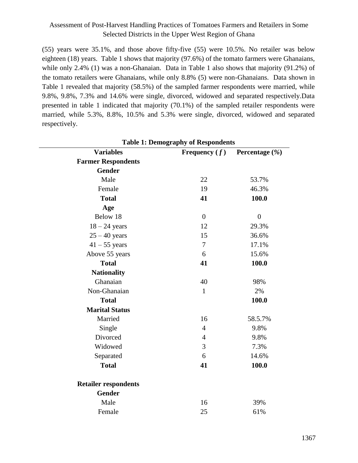(55) years were 35.1%, and those above fifty-five (55) were 10.5%. No retailer was below eighteen (18) years. Table 1 shows that majority (97.6%) of the tomato farmers were Ghanaians, while only 2.4% (1) was a non-Ghanaian. Data in Table 1 also shows that majority (91.2%) of the tomato retailers were Ghanaians, while only 8.8% (5) were non-Ghanaians. Data shown in Table 1 revealed that majority (58.5%) of the sampled farmer respondents were married, while 9.8%, 9.8%, 7.3% and 14.6% were single, divorced, widowed and separated respectively.Data presented in table 1 indicated that majority (70.1%) of the sampled retailer respondents were married, while 5.3%, 8.8%, 10.5% and 5.3% were single, divorced, widowed and separated respectively.

| <b>Table 1: Demography of Respondents</b> |                 |                    |  |  |
|-------------------------------------------|-----------------|--------------------|--|--|
| <b>Variables</b>                          | Frequency $(f)$ | Percentage $(\% )$ |  |  |
| <b>Farmer Respondents</b>                 |                 |                    |  |  |
| <b>Gender</b>                             |                 |                    |  |  |
| Male                                      | 22              | 53.7%              |  |  |
| Female                                    | 19              | 46.3%              |  |  |
| <b>Total</b>                              | 41              | 100.0              |  |  |
| Age                                       |                 |                    |  |  |
| Below 18                                  | $\overline{0}$  | $\boldsymbol{0}$   |  |  |
| $18 - 24$ years                           | 12              | 29.3%              |  |  |
| $25 - 40$ years                           | 15              | 36.6%              |  |  |
| $41 - 55$ years                           | $\overline{7}$  | 17.1%              |  |  |
| Above 55 years                            | 6               | 15.6%              |  |  |
| <b>Total</b>                              | 41              | 100.0              |  |  |
| <b>Nationality</b>                        |                 |                    |  |  |
| Ghanaian                                  | 40              | 98%                |  |  |
| Non-Ghanaian                              | $\mathbf{1}$    | 2%                 |  |  |
| <b>Total</b>                              |                 | 100.0              |  |  |
| <b>Marital Status</b>                     |                 |                    |  |  |
| Married                                   | 16              | 58.5.7%            |  |  |
| Single                                    | $\overline{4}$  | 9.8%               |  |  |
| Divorced                                  | $\overline{4}$  | 9.8%               |  |  |
| Widowed                                   | 3               | 7.3%               |  |  |
| Separated                                 | 6               | 14.6%              |  |  |
| <b>Total</b>                              | 41              | 100.0              |  |  |
| <b>Retailer respondents</b>               |                 |                    |  |  |
| <b>Gender</b>                             |                 |                    |  |  |
| Male                                      | 16              | 39%                |  |  |
| Female                                    | 25              | 61%                |  |  |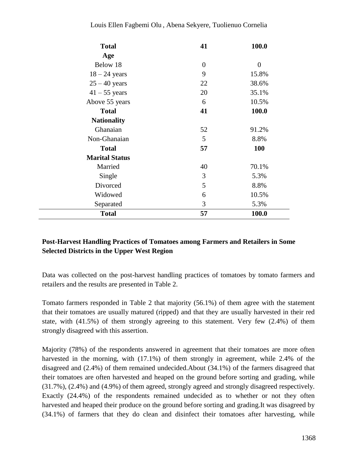#### Louis Ellen Fagbemi Olu , Abena Sekyere, Tuolienuo Cornelia

| <b>Total</b>          | 41       | 100.0          |
|-----------------------|----------|----------------|
| Age                   |          |                |
| Below 18              | $\theta$ | $\overline{0}$ |
| $18 - 24$ years       | 9        | 15.8%          |
| $25 - 40$ years       | 22       | 38.6%          |
| $41 - 55$ years       | 20       | 35.1%          |
| Above 55 years        | 6        | 10.5%          |
| <b>Total</b>          | 41       | 100.0          |
| <b>Nationality</b>    |          |                |
| Ghanaian              | 52       | 91.2%          |
| Non-Ghanaian          | 5        | 8.8%           |
| <b>Total</b>          | 57       | 100            |
| <b>Marital Status</b> |          |                |
| Married               | 40       | 70.1%          |
| Single                | 3        | 5.3%           |
| Divorced              | 5        | 8.8%           |
| Widowed               | 6        | 10.5%          |
| Separated             | 3        | 5.3%           |
| <b>Total</b>          | 57       | 100.0          |

### **Post-Harvest Handling Practices of Tomatoes among Farmers and Retailers in Some Selected Districts in the Upper West Region**

Data was collected on the post-harvest handling practices of tomatoes by tomato farmers and retailers and the results are presented in Table 2.

Tomato farmers responded in Table 2 that majority (56.1%) of them agree with the statement that their tomatoes are usually matured (ripped) and that they are usually harvested in their red state, with (41.5%) of them strongly agreeing to this statement. Very few (2.4%) of them strongly disagreed with this assertion.

Majority (78%) of the respondents answered in agreement that their tomatoes are more often harvested in the morning, with (17.1%) of them strongly in agreement, while 2.4% of the disagreed and (2.4%) of them remained undecided.About (34.1%) of the farmers disagreed that their tomatoes are often harvested and heaped on the ground before sorting and grading, while (31.7%), (2.4%) and (4.9%) of them agreed, strongly agreed and strongly disagreed respectively. Exactly (24.4%) of the respondents remained undecided as to whether or not they often harvested and heaped their produce on the ground before sorting and grading.It was disagreed by (34.1%) of farmers that they do clean and disinfect their tomatoes after harvesting, while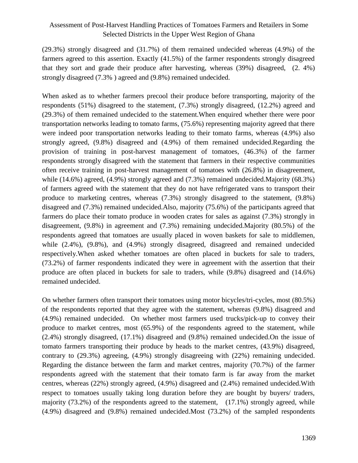(29.3%) strongly disagreed and (31.7%) of them remained undecided whereas (4.9%) of the farmers agreed to this assertion. Exactly (41.5%) of the farmer respondents strongly disagreed that they sort and grade their produce after harvesting, whereas (39%) disagreed, (2. 4%) strongly disagreed (7.3% ) agreed and (9.8%) remained undecided.

When asked as to whether farmers precool their produce before transporting, majority of the respondents (51%) disagreed to the statement, (7.3%) strongly disagreed, (12.2%) agreed and (29.3%) of them remained undecided to the statement.When enquired whether there were poor transportation networks leading to tomato farms, (75.6%) representing majority agreed that there were indeed poor transportation networks leading to their tomato farms, whereas (4.9%) also strongly agreed, (9.8%) disagreed and (4.9%) of them remained undecided.Regarding the provision of training in post-harvest management of tomatoes, (46.3%) of the farmer respondents strongly disagreed with the statement that farmers in their respective communities often receive training in post-harvest management of tomatoes with (26.8%) in disagreement, while (14.6%) agreed, (4.9%) strongly agreed and (7.3%) remained undecided.Majority (68.3%) of farmers agreed with the statement that they do not have refrigerated vans to transport their produce to marketing centres, whereas (7.3%) strongly disagreed to the statement, (9.8%) disagreed and (7.3%) remained undecided.Also, majority (75.6%) of the participants agreed that farmers do place their tomato produce in wooden crates for sales as against (7.3%) strongly in disagreement, (9.8%) in agreement and (7.3%) remaining undecided.Majority (80.5%) of the respondents agreed that tomatoes are usually placed in woven baskets for sale to middlemen, while  $(2.4\%)$ ,  $(9.8\%)$ , and  $(4.9\%)$  strongly disagreed, disagreed and remained undecided respectively.When asked whether tomatoes are often placed in buckets for sale to traders, (73.2%) of farmer respondents indicated they were in agreement with the assertion that their produce are often placed in buckets for sale to traders, while (9.8%) disagreed and (14.6%) remained undecided.

On whether farmers often transport their tomatoes using motor bicycles/tri-cycles, most (80.5%) of the respondents reported that they agree with the statement, whereas (9.8%) disagreed and (4.9%) remained undecided. On whether most farmers used trucks/pick-up to convey their produce to market centres, most (65.9%) of the respondents agreed to the statement, while (2.4%) strongly disagreed, (17.1%) disagreed and (9.8%) remained undecided.On the issue of tomato farmers transporting their produce by heads to the market centres, (43.9%) disagreed, contrary to (29.3%) agreeing, (4.9%) strongly disagreeing with (22%) remaining undecided. Regarding the distance between the farm and market centres, majority (70.7%) of the farmer respondents agreed with the statement that their tomato farm is far away from the market centres, whereas (22%) strongly agreed, (4.9%) disagreed and (2.4%) remained undecided.With respect to tomatoes usually taking long duration before they are bought by buyers/ traders, majority (73.2%) of the respondents agreed to the statement, (17.1%) strongly agreed, while (4.9%) disagreed and (9.8%) remained undecided.Most (73.2%) of the sampled respondents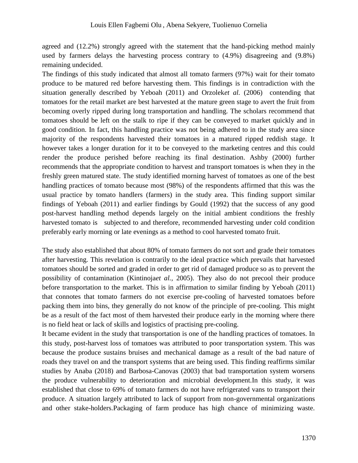agreed and (12.2%) strongly agreed with the statement that the hand-picking method mainly used by farmers delays the harvesting process contrary to (4.9%) disagreeing and (9.8%) remaining undecided.

The findings of this study indicated that almost all tomato farmers (97%) wait for their tomato produce to be matured red before harvesting them. This findings is in contradiction with the situation generally described by Yeboah (2011) and Orzolek*et al.* (2006) contending that tomatoes for the retail market are best harvested at the mature green stage to avert the fruit from becoming overly ripped during long transportation and handling. The scholars recommend that tomatoes should be left on the stalk to ripe if they can be conveyed to market quickly and in good condition. In fact, this handling practice was not being adhered to in the study area since majority of the respondents harvested their tomatoes in a matured ripped reddish stage. It however takes a longer duration for it to be conveyed to the marketing centres and this could render the produce perished before reaching its final destination. Ashby (2000) further recommends that the appropriate condition to harvest and transport tomatoes is when they in the freshly green matured state. The study identified morning harvest of tomatoes as one of the best handling practices of tomato because most (98%) of the respondents affirmed that this was the usual practice by tomato handlers (farmers) in the study area. This finding support similar findings of Yeboah (2011) and earlier findings by Gould (1992) that the success of any good post-harvest handling method depends largely on the initial ambient conditions the freshly harvested tomato is subjected to and therefore, recommended harvesting under cold condition preferably early morning or late evenings as a method to cool harvested tomato fruit.

The study also established that about 80% of tomato farmers do not sort and grade their tomatoes after harvesting. This revelation is contrarily to the ideal practice which prevails that harvested tomatoes should be sorted and graded in order to get rid of damaged produce so as to prevent the possibility of contamination (Kintinoja*et al.,* 2005). They also do not precool their produce before transportation to the market. This is in affirmation to similar finding by Yeboah (2011) that connotes that tomato farmers do not exercise pre-cooling of harvested tomatoes before packing them into bins, they generally do not know of the principle of pre-cooling. This might be as a result of the fact most of them harvested their produce early in the morning where there is no field heat or lack of skills and logistics of practising pre-cooling.

It became evident in the study that transportation is one of the handling practices of tomatoes. In this study, post-harvest loss of tomatoes was attributed to poor transportation system. This was because the produce sustains bruises and mechanical damage as a result of the bad nature of roads they travel on and the transport systems that are being used. This finding reaffirms similar studies by Anaba (2018) and Barbosa-Canovas (2003) that bad transportation system worsens the produce vulnerability to deterioration and microbial development.In this study, it was established that close to 69% of tomato farmers do not have refrigerated vans to transport their produce. A situation largely attributed to lack of support from non-governmental organizations and other stake-holders.Packaging of farm produce has high chance of minimizing waste.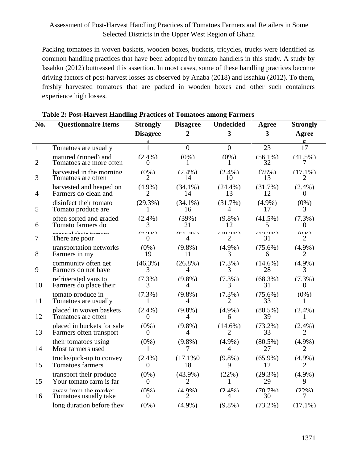Packing tomatoes in woven baskets, wooden boxes, buckets, tricycles, trucks were identified as common handling practices that have been adopted by tomato handlers in this study. A study by Issahku (2012) buttressed this assertion. In most cases, some of these handling practices become driving factors of post-harvest losses as observed by Anaba (2018) and Issahku (2012). To them, freshly harvested tomatoes that are packed in wooden boxes and other such containers experience high losses.

| No.            | <b>Questionnaire Items</b> | <b>Strongly</b> | <b>Disagree</b> | <b>Undecided</b>        | Agree                   | <b>Strongly</b> |
|----------------|----------------------------|-----------------|-----------------|-------------------------|-------------------------|-----------------|
|                |                            | <b>Disagree</b> | $\overline{2}$  | $\overline{\mathbf{3}}$ | $\overline{\mathbf{3}}$ | Agree           |
| $\mathbf{1}$   | Tomatoes are usually       | 1               | $\Omega$        | $\Omega$                | 23                      | 17              |
| $\overline{2}$ | matured (rinned) and       | $(2.4\%)$       | $(0\%)$         | $(0\%)$                 | $(56.1\%)$              | $(41.5\%)$      |
|                | Tomatoes are more often    | $\theta$        | 1               | 1                       | 32                      | 7               |
| 3              | harvested in the morning   | $(0\%)$         | $(2.4\%)$       | $(2.4\%)$               | (78%)                   | $(17.1\%)$      |
|                | Tomatoes are often         | $\overline{2}$  | 14              | 10                      | 13                      | $\overline{2}$  |
| $\overline{4}$ | harvested and heaped on    | $(4.9\%)$       | $(34.1\%)$      | $(24.4\%)$              | $(31.7\%)$              | $(2.4\%)$       |
|                | Farmers do clean and       | $\overline{2}$  | 14              | 13                      | 12                      | $\Omega$        |
| 5              | disinfect their tomato     | $(29.3\%)$      | $(34.1\%)$      | $(31.7\%)$              | $(4.9\%)$               | $(0\%)$         |
|                | Tomato produce are         | 1               | 16              | $\overline{4}$          | 17                      | 3               |
| 6              | often sorted and graded    | $(2.4\%)$       | (39%)           | $(9.8\%)$               | $(41.5\%)$              | $(7.3\%)$       |
|                | Tomato farmers do          | 3               | 21              | 12                      | 5                       | 0               |
| 7              | ngaaaal thaig tamata       | (7.20/)         | (51.201)        | (20.20)                 | (12.20)                 | (0.07)          |
|                | There are poor             | $\overline{0}$  | 4               | $\overline{2}$          | 31                      | 2               |
| 8              | transportation networks    | $(0\%)$         | $(9.8\%)$       | $(4.9\%)$               | $(75.6\%)$              | $(4.9\%)$       |
|                | Farmers in my              | 19              | 11              | 3                       | 6                       | $\overline{2}$  |
| 9              | community often get        | $(46.3\%)$      | $(26.8\%)$      | $(7.3\%)$               | $(14.6\%)$              | $(4.9\%)$       |
|                | Farmers do not have        | 3               | 4               | 3                       | 28                      | 3               |
| 10             | refrigerated vans to       | $(7.3\%)$       | $(9.8\%)$       | $(7.3\%)$               | $(68.3\%)$              | $(7.3\%)$       |
|                | Farmers do place their     | 3               | 4               | 3                       | 31                      | 0               |
| 11             | tomato produce in          | $(7.3\%)$       | $(9.8\%)$       | $(7.3\%)$               | $(75.6\%)$              | $(0\%)$         |
|                | Tomatoes are usually       | 1               | $\overline{4}$  | $\overline{2}$          | 33                      | 1               |
| 12             | placed in woven baskets    | $(2.4\%)$       | $(9.8\%)$       | $(4.9\%)$               | $(80.5\%)$              | $(2.4\%)$       |
|                | Tomatoes are often         | $\overline{0}$  | 4               | 6                       | 39                      | 1               |
| 13             | placed in buckets for sale | $(0\%)$         | $(9.8\%)$       | $(14.6\%)$              | $(73.2\%)$              | $(2.4\%)$       |
|                | Farmers often transport    | $\overline{0}$  | $\overline{4}$  | 2                       | 33                      | 2               |
| 14             | their tomatoes using       | $(0\%)$         | $(9.8\%)$       | $(4.9\%)$               | $(80.5\%)$              | $(4.9\%)$       |
|                | Most farmers used          | 1               | 7               | $\overline{4}$          | 27                      | $\overline{2}$  |
| 15             | trucks/pick-up to convey   | $(2.4\%)$       | $(17.1\%0)$     | $(9.8\%)$               | $(65.9\%)$              | $(4.9\%)$       |
|                | <b>Tomatoes farmers</b>    | $\overline{0}$  | 18              | 9                       | 12                      | $\overline{2}$  |
| 15             | transport their produce    | $(0\%)$         | $(43.9\%)$      | (22%)                   | $(29.3\%)$              | $(4.9\%)$       |
|                | Your tomato farm is far    | $\theta$        | 2               | 1                       | 29                      | 9               |
| 16             | away from the market       | $(0\%)$         | $(4.9\%)$       | $(2.4\%)$               | $(70.7\%)$              | (2206)          |
|                | Tomatoes usually take      | $\theta$        | 2               | 4                       | 30                      | 7               |
|                | long duration before they  | $(0\%)$         | $(4.9\%)$       | $(9.8\%)$               | $(73.2\%)$              | $(17.1\%)$      |

#### **Table 2: Post-Harvest Handling Practices of Tomatoes among Farmers**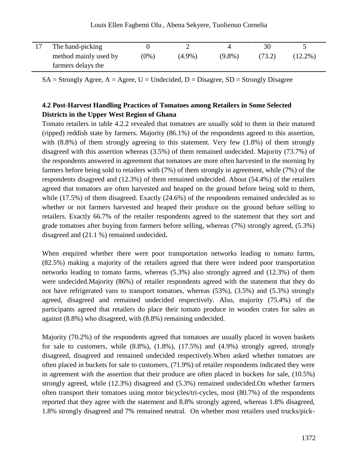| The hand-picking      |         |           |           |        |            |
|-----------------------|---------|-----------|-----------|--------|------------|
| method mainly used by | $(0\%)$ | $(4.9\%)$ | $(9.8\%)$ | (73.2) | $(12.2\%)$ |
| farmers delays the    |         |           |           |        |            |

Louis Ellen Fagbemi Olu , Abena Sekyere, Tuolienuo Cornelia

 $\overline{a}$  $SA =$  Strongly Agree,  $A =$  Agree, U = Undecided, D = Disagree, SD = Strongly Disagree

### **4.2 Post-Harvest Handling Practices of Tomatoes among Retailers in Some Selected Districts in the Upper West Region of Ghana**

Tomato retailers in table 4.2.2 revealed that tomatoes are usually sold to them in their matured (ripped) reddish state by farmers. Majority (86.1%) of the respondents agreed to this assertion, with (8.8%) of them strongly agreeing to this statement. Very few (1.8%) of them strongly disagreed with this assertion whereas (3.5%) of them remained undecided. Majority (73.7%) of the respondents answered in agreement that tomatoes are more often harvested in the morning by farmers before being sold to retailers with (7%) of them strongly in agreement, while (7%) of the respondents disagreed and (12.3%) of them remained undecided. About (54.4%) of the retailers agreed that tomatoes are often harvested and heaped on the ground before being sold to them, while (17.5%) of them disagreed. Exactly (24.6%) of the respondents remained undecided as to whether or not farmers harvested and heaped their produce on the ground before selling to retailers. Exactly 66.7% of the retailer respondents agreed to the statement that they sort and grade tomatoes after buying from farmers before selling, whereas (7%) strongly agreed, (5.3%) disagreed and (21.1 %) remained undecided**.**

When enquired whether there were poor transportation networks leading to tomato farms, (82.5%) making a majority of the retailers agreed that there were indeed poor transportation networks leading to tomato farms, whereas (5.3%) also strongly agreed and (12.3%) of them were undecided.Majority (86%) of retailer respondents agreed with the statement that they do not have refrigerated vans to transport tomatoes, whereas (53%), (3.5%) and (5.3%) strongly agreed, disagreed and remained undecided respectively. Also, majority (75.4%) of the participants agreed that retailers do place their tomato produce in wooden crates for sales as against (8.8%) who disagreed, with (8.8%) remaining undecided.

Majority (70.2%) of the respondents agreed that tomatoes are usually placed in woven baskets for sale to customers, while  $(8.8\%)$ ,  $(1.8\%)$ ,  $(17.5\%)$  and  $(4.9\%)$  strongly agreed, strongly disagreed, disagreed and remained undecided respectively.When asked whether tomatoes are often placed in buckets for sale to customers, (71.9%) of retailer respondents indicated they were in agreement with the assertion that their produce are often placed in buckets for sale, (10.5%) strongly agreed, while (12.3%) disagreed and (5.3%) remained undecided.On whether farmers often transport their tomatoes using motor bicycles/tri-cycles, most (80.7%) of the respondents reported that they agree with the statement and 8.8% strongly agreed, whereas 1.8% disagreed, 1.8% strongly disagreed and 7% remained neutral. On whether most retailers used trucks/pick-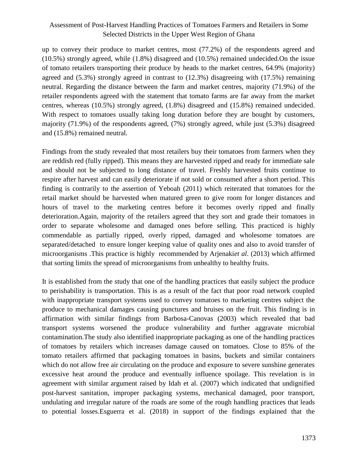up to convey their produce to market centres, most (77.2%) of the respondents agreed and (10.5%) strongly agreed, while (1.8%) disagreed and (10.5%) remained undecided.On the issue of tomato retailers transporting their produce by heads to the market centres, 64.9% (majority) agreed and (5.3%) strongly agreed in contrast to (12.3%) disagreeing with (17.5%) remaining neutral. Regarding the distance between the farm and market centres, majority (71.9%) of the retailer respondents agreed with the statement that tomato farms are far away from the market centres, whereas (10.5%) strongly agreed, (1.8%) disagreed and (15.8%) remained undecided. With respect to tomatoes usually taking long duration before they are bought by customers, majority (71.9%) of the respondents agreed, (7%) strongly agreed, while just (5.3%) disagreed and (15.8%) remained neutral.

Findings from the study revealed that most retailers buy their tomatoes from farmers when they are reddish red (fully ripped). This means they are harvested ripped and ready for immediate sale and should not be subjected to long distance of travel. Freshly harvested fruits continue to respire after harvest and can easily deteriorate if not sold or consumed after a short period. This finding is contrarily to the assertion of Yeboah (2011) which reiterated that tomatoes for the retail market should be harvested when matured green to give room for longer distances and hours of travel to the marketing centres before it becomes overly ripped and finally deterioration.Again, majority of the retailers agreed that they sort and grade their tomatoes in order to separate wholesome and damaged ones before selling. This practiced is highly commendable as partially ripped, overly ripped, damaged and wholesome tomatoes are separated/detached to ensure longer keeping value of quality ones and also to avoid transfer of microorganisms .This practice is highly recommended by Arjenaki*et al*. (2013) which affirmed that sorting limits the spread of microorganisms from unhealthy to healthy fruits.

It is established from the study that one of the handling practices that easily subject the produce to perishability is transportation. This is as a result of the fact that poor road network coupled with inappropriate transport systems used to convey tomatoes to marketing centres subject the produce to mechanical damages causing punctures and bruises on the fruit. This finding is in affirmation with similar findings from Barbosa-Canovas (2003) which revealed that bad transport systems worsened the produce vulnerability and further aggravate microbial contamination.The study also identified inappropriate packaging as one of the handling practices of tomatoes by retailers which increases damage caused on tomatoes. Close to 85% of the tomato retailers affirmed that packaging tomatoes in basins, buckets and similar containers which do not allow free air circulating on the produce and exposure to severe sunshine generates excessive heat around the produce and eventually influence spoilage. This revelation is in agreement with similar argument raised by Idah et al. (2007) which indicated that undignified post-harvest sanitation, improper packaging systems, mechanical damaged, poor transport, undulating and irregular nature of the roads are some of the rough handling practices that leads to potential losses.Esguerra et al. (2018) in support of the findings explained that the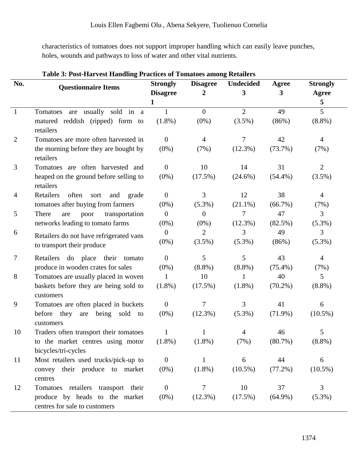characteristics of tomatoes does not support improper handling which can easily leave punches, holes, wounds and pathways to loss of water and other vital nutrients.

| No.            | <b>Questionnaire Items</b>                             | <b>Strongly</b>  | <b>Disagree</b> | <b>Undecided</b> | <b>Agree</b> | <b>Strongly</b> |
|----------------|--------------------------------------------------------|------------------|-----------------|------------------|--------------|-----------------|
|                |                                                        | <b>Disagree</b>  | 2               | 3                | 3            | <b>Agree</b>    |
|                |                                                        | 1                |                 |                  |              | 5               |
| $\mathbf{1}$   | Tomatoes are usually sold in a                         | $\mathbf{1}$     | $\overline{0}$  | $\overline{2}$   | 49           | 5               |
|                | matured reddish (ripped) form to<br>retailers          | $(1.8\%)$        | $(0\%)$         | $(3.5\%)$        | (86%)        | $(8.8\%)$       |
| $\overline{2}$ | Tomatoes are more often harvested in                   | $\overline{0}$   | $\overline{4}$  | 7                | 42           | $\overline{4}$  |
|                | the morning before they are bought by<br>retailers     | $(0\%)$          | (7%)            | $(12.3\%)$       | (73.7%)      | (7%)            |
| 3              | Tomatoes are often harvested and                       | $\overline{0}$   | 10              | 14               | 31           | $\overline{2}$  |
|                | heaped on the ground before selling to<br>retailers    | $(0\%)$          | $(17.5\%)$      | $(24.6\%)$       | $(54.4\%)$   | $(3.5\%)$       |
| $\overline{4}$ | Retailers<br>often<br>sort<br>and<br>grade             | $\boldsymbol{0}$ | 3               | 12               | 38           | $\overline{4}$  |
|                | tomatoes after buying from farmers                     | $(0\%)$          | $(5.3\%)$       | $(21.1\%)$       | (66.7%)      | (7%)            |
| 5              | There<br>transportation<br>poor<br>are                 | $\boldsymbol{0}$ | $\theta$        | 7                | 47           | 3               |
|                | networks leading to tomato farms                       | $(0\%)$          | $(0\%)$         | $(12.3\%)$       | $(82.5\%)$   | $(5.3\%)$       |
| 6              | Retailers do not have refrigerated vans                | $\overline{0}$   | $\overline{2}$  | 3                | 49           | 3               |
|                | to transport their produce                             | $(0\%)$          | $(3.5\%)$       | $(5.3\%)$        | (86%)        | $(5.3\%)$       |
| 7              | Retailers do place their<br>tomato                     | $\overline{0}$   | 5               | 5                | 43           | $\overline{4}$  |
|                | produce in wooden crates for sales                     | $(0\%)$          | $(8.8\%)$       | $(8.8\%)$        | $(75.4\%)$   | (7%)            |
| 8              | Tomatoes are usually placed in woven                   | 1                | 10              | 1                | 40           | 5               |
|                | baskets before they are being sold to<br>customers     | $(1.8\%)$        | $(17.5\%)$      | $(1.8\%)$        | $(70.2\%)$   | $(8.8\%)$       |
| 9              | Tomatoes are often placed in buckets                   | $\boldsymbol{0}$ | 7               | 3                | 41           | 6               |
|                | they<br>being<br>sold to<br>before<br>are<br>customers | $(0\%)$          | $(12.3\%)$      | $(5.3\%)$        | $(71.9\%)$   | $(10.5\%)$      |
| 10             | Traders often transport their tomatoes                 |                  |                 |                  | 46           | 5               |
|                | to the market centres using motor                      | $(1.8\%)$        | $(1.8\%)$       | (7%)             | $(80.7\%)$   | $(8.8\%)$       |
|                | bicycles/tri-cycles                                    |                  |                 |                  |              |                 |
| 11             | Most retailers used trucks/pick-up to                  | $\overline{0}$   | 1               | 6                | 44           | 6               |
|                | convey their produce to market                         | $(0\%)$          | $(1.8\%)$       | $(10.5\%)$       | $(77.2\%)$   | $(10.5\%)$      |
|                | centres                                                |                  |                 |                  |              |                 |
| 12             | Tomatoes retailers transport their                     | $\boldsymbol{0}$ | 7               | 10               | 37           | 3               |
|                | produce by heads to the market                         | $(0\%)$          | $(12.3\%)$      | $(17.5\%)$       | $(64.9\%)$   | $(5.3\%)$       |
|                | centres for sale to customers                          |                  |                 |                  |              |                 |

### **Table 3: Post-Harvest Handling Practices of Tomatoes among Retailers**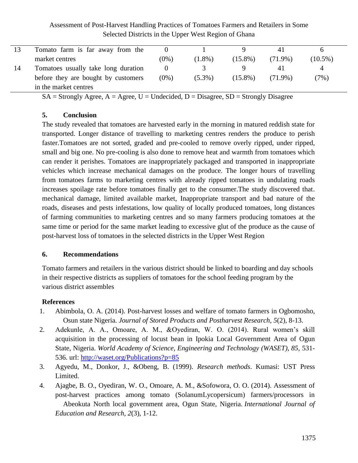|    | Tomato farm is far away from the    |         |           |            | 41         |            |
|----|-------------------------------------|---------|-----------|------------|------------|------------|
|    | market centres                      | $(0\%)$ | $(1.8\%)$ | $(15.8\%)$ | $(71.9\%)$ | $(10.5\%)$ |
| 14 | Tomatoes usually take long duration |         |           |            |            | 4          |
|    | before they are bought by customers | $(0\%)$ | $(5.3\%)$ | $(15.8\%)$ | $(71.9\%)$ | (7%)       |
|    | in the market centres               |         |           |            |            |            |

 $SA =$  Strongly Agree,  $A =$  Agree,  $U =$  Undecided,  $D =$  Disagree,  $SD =$  Strongly Disagree

#### **5. Conclusion**

The study revealed that tomatoes are harvested early in the morning in matured reddish state for transported. Longer distance of travelling to marketing centres renders the produce to perish faster.Tomatoes are not sorted, graded and pre-cooled to remove overly ripped, under ripped, small and big one. No pre-cooling is also done to remove heat and warmth from tomatoes which can render it perishes. Tomatoes are inappropriately packaged and transported in inappropriate vehicles which increase mechanical damages on the produce. The longer hours of travelling from tomatoes farms to marketing centres with already ripped tomatoes in undulating roads increases spoilage rate before tomatoes finally get to the consumer.The study discovered that. mechanical damage, limited available market, Inappropriate transport and bad nature of the roads, diseases and pests infestations, low quality of locally produced tomatoes, long distances of farming communities to marketing centres and so many farmers producing tomatoes at the same time or period for the same market leading to excessive glut of the produce as the cause of post-harvest loss of tomatoes in the selected districts in the Upper West Region

#### **6. Recommendations**

Tomato farmers and retailers in the various district should be linked to boarding and day schools in their respective districts as suppliers of tomatoes for the school feeding program by the various district assembles

# **References**

- 1. Abimbola, O. A. (2014). Post-harvest losses and welfare of tomato farmers in Ogbomosho, Osun state Nigeria. *Journal of Stored Products and Postharvest Research, 5*(2), 8-13.
- 2. Adekunle, A. A., Omoare, A. M., &Oyediran, W. O. (2014). Rural women's skill acquisition in the processing of locust bean in Ipokia Local Government Area of Ogun State, Nigeria. *World Academy of Science, Engineering and Technology (WASET), 85,* 531- 536. url:<http://waset.org/Publications?p=85>
- 3. Agyedu, M., Donkor, J., &Obeng, B. (1999). *Research methods*. Kumasi: UST Press Limited.
- 4. Ajagbe, B. O., Oyediran, W. O., Omoare, A. M., &Sofowora, O. O. (2014). Assessment of post-harvest practices among tomato (SolanumLycopersicum) farmers/processors in Abeokuta North local government area, Ogun State, Nigeria. *International Journal of Education and Research*, *2*(3), 1-12.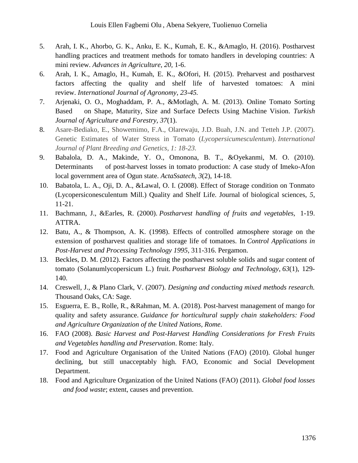- 5. Arah, I. K., Ahorbo, G. K., Anku, E. K., Kumah, E. K., &Amaglo, H. (2016). Postharvest handling practices and treatment methods for tomato handlers in developing countries: A mini review. *Advances in Agriculture*, *20,* 1-6.
- 6. Arah, I. K., Amaglo, H., Kumah, E. K., &Ofori, H. (2015). Preharvest and postharvest factors affecting the quality and shelf life of harvested tomatoes: A mini review. *International Journal of Agronomy*, *23-45.*
- 7. Arjenaki, O. O., Moghaddam, P. A., &Motlagh, A. M. (2013). Online Tomato Sorting Based on Shape, Maturity, Size and Surface Defects Using Machine Vision. *Turkish Journal of Agriculture and Forestry, 37*(1).
- 8. Asare-Bediako, E., Showemimo, F.A., Olarewaju, J.D. Buah, J.N. and Tetteh J.P. (2007). Genetic Estimates of Water Stress in Tomato (*Lycopersicumesculentum*). *International Journal of Plant Breeding and Genetics, 1: 18-23.*
- 9. Babalola, D. A., Makinde, Y. O., Omonona, B. T., &Oyekanmi, M. O. (2010). Determinants of post-harvest losses in tomato production: A case study of Imeko-Afon local government area of Ogun state. *ActaSsatech*, *3*(2), 14-18.
- 10. Babatola, L. A., Oji, D. A., &Lawal, O. I. (2008). Effect of Storage condition on Tonmato (Lycopersiconesculentum Mill.) Quality and Shelf Life. Journal of biological sciences, *5*, 11-21.
- 11. Bachmann, J., &Earles, R. (2000). *Postharvest handling of fruits and vegetables,* 1-19. ATTRA.
- 12. Batu, A., & Thompson, A. K. (1998). Effects of controlled atmosphere storage on the extension of postharvest qualities and storage life of tomatoes. In *Control Applications in Post-Harvest and Processing Technology 1995*, 311-316. Pergamon.
- 13. Beckles, D. M. (2012). Factors affecting the postharvest soluble solids and sugar content of tomato (Solanumlycopersicum L.) fruit. *Postharvest Biology and Technology*, *63*(1), 129- 140.
- 14. Creswell, J., & Plano Clark, V. (2007). *Designing and conducting mixed methods research.*  Thousand Oaks, CA: Sage.
- 15. Esguerra, E. B., Rolle, R., &Rahman, M. A. (2018). Post-harvest management of mango for quality and safety assurance. *Guidance for horticultural supply chain stakeholders: Food and Agriculture Organization of the United Nations, Rome*.
- 16. FAO (2008). *Basic Harvest and Post-Harvest Handling Considerations for Fresh Fruits and Vegetables handling and Preservation*. Rome: Italy.
- 17. Food and Agriculture Organisation of the United Nations (FAO) (2010). Global hunger declining, but still unacceptably high. FAO, Economic and Social Development Department.
- 18. Food and Agriculture Organization of the United Nations (FAO) (2011). *Global food losses and food waste*; extent, causes and prevention.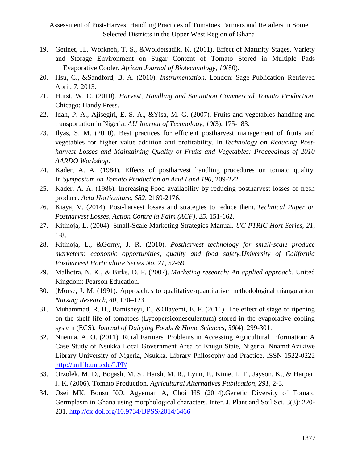- 19. Getinet, H., Workneh, T. S., &Woldetsadik, K. (2011). Effect of Maturity Stages, Variety and Storage Environment on Sugar Content of Tomato Stored in Multiple Pads Evaporative Cooler*. African Journal of Biotechnology, 10*(80).
- 20. Hsu, C., &Sandford, B. A. (2010). *Instrumentation*. London: Sage Publication. Retrieved April, 7, 2013.
- 21. Hurst, W. C. (2010). *Harvest, Handling and Sanitation Commercial Tomato Production.*  Chicago: Handy Press.
- 22. Idah, P. A., Ajisegiri, E. S. A., &Yisa, M. G. (2007). Fruits and vegetables handling and transportation in Nigeria. *AU Journal of Technology*, *10*(3), 175-183.
- 23. Ilyas, S. M. (2010). Best practices for efficient postharvest management of fruits and vegetables for higher value addition and profitability. In *Technology on Reducing Postharvest Losses and Maintaining Quality of Fruits and Vegetables: Proceedings of 2010 AARDO Workshop*.
- 24. Kader, A. A. (1984). Effects of postharvest handling procedures on tomato quality. In *Symposium on Tomato Production on Arid Land 190,* 209-222.
- 25. Kader, A. A. (1986). Increasing Food availability by reducing postharvest losses of fresh produce. *Acta Horticulture, 682,* 2169-2176.
- 26. Kiaya, V. (2014). Post-harvest losses and strategies to reduce them. *Technical Paper on Postharvest Losses, Action Contre la Faim (ACF)*, *25*, 151-162.
- 27. Kitinoja, L. (2004). Small-Scale Marketing Strategies Manual. *UC PTRIC Hort Series, 21*, 1-8.
- 28. Kitinoja, L., &Gorny, J. R. (2010). *Postharvest technology for small-scale produce marketers: economic opportunities, quality and food safety.University of California Postharvest Horticulture Series No. 21*, 52-69.
- 29. Malhotra, N. K., & Birks, D. F. (2007). *Marketing research: An applied approach*. United Kingdom: Pearson Education.
- 30. (Morse, J. M. (1991). Approaches to qualitative-quantitative methodological triangulation. *Nursing Research, 40*, 120–123.
- 31. Muhammad, R. H., Bamisheyi, E., &Olayemi, E. F. (2011). The effect of stage of ripening on the shelf life of tomatoes (Lycopersiconesculentum) stored in the evaporative cooling system (ECS). *Journal of Dairying Foods & Home Sciences*, *30*(4), 299-301.
- 32. Nnenna, A. O. (2011). Rural Farmers' Problems in Accessing Agricultural Information: A Case Study of Nsukka Local Government Area of Enugu State, Nigeria. NnamdiAzikiwe Library University of Nigeria, Nsukka. Library Philosophy and Practice. ISSN 1522-0222 <http://unllib.unl.edu/LPP/>
- 33. Orzolek, M. D., Bogash, M. S., Harsh, M. R., Lynn, F., Kime, L. F., Jayson, K., & Harper, J. K. (2006). Tomato Production. *Agricultural Alternatives Publication, 291*, 2-3.
- 34. Osei MK, Bonsu KO, Agyeman A, Choi HS (2014).Genetic Diversity of Tomato Germplasm in Ghana using morphological characters. Inter. J. Plant and Soil Sci. 3(3): 220- 231.<http://dx.doi.org/10.9734/IJPSS/2014/6466>